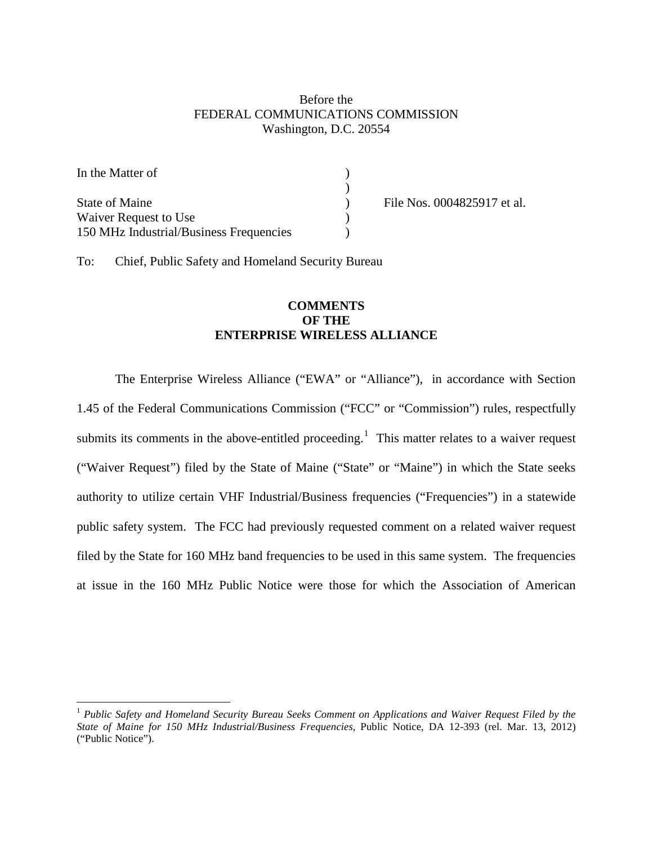## Before the FEDERAL COMMUNICATIONS COMMISSION Washington, D.C. 20554

| In the Matter of                        |  |
|-----------------------------------------|--|
|                                         |  |
| <b>State of Maine</b>                   |  |
| Waiver Request to Use                   |  |
| 150 MHz Industrial/Business Frequencies |  |

File Nos. 0004825917 et al.

To: Chief, Public Safety and Homeland Security Bureau

## **COMMENTS OF THE ENTERPRISE WIRELESS ALLIANCE**

The Enterprise Wireless Alliance ("EWA" or "Alliance"), in accordance with Section 1.45 of the Federal Communications Commission ("FCC" or "Commission") rules, respectfully submits its comments in the above-entitled proceeding.<sup>[1](#page-0-0)</sup> This matter relates to a waiver request ("Waiver Request") filed by the State of Maine ("State" or "Maine") in which the State seeks authority to utilize certain VHF Industrial/Business frequencies ("Frequencies") in a statewide public safety system. The FCC had previously requested comment on a related waiver request filed by the State for 160 MHz band frequencies to be used in this same system. The frequencies at issue in the 160 MHz Public Notice were those for which the Association of American

<span id="page-0-0"></span> <sup>1</sup> *Public Safety and Homeland Security Bureau Seeks Comment on Applications and Waiver Request Filed by the State of Maine for 150 MHz Industrial/Business Frequencies*, Public Notice, DA 12-393 (rel. Mar. 13, 2012) ("Public Notice").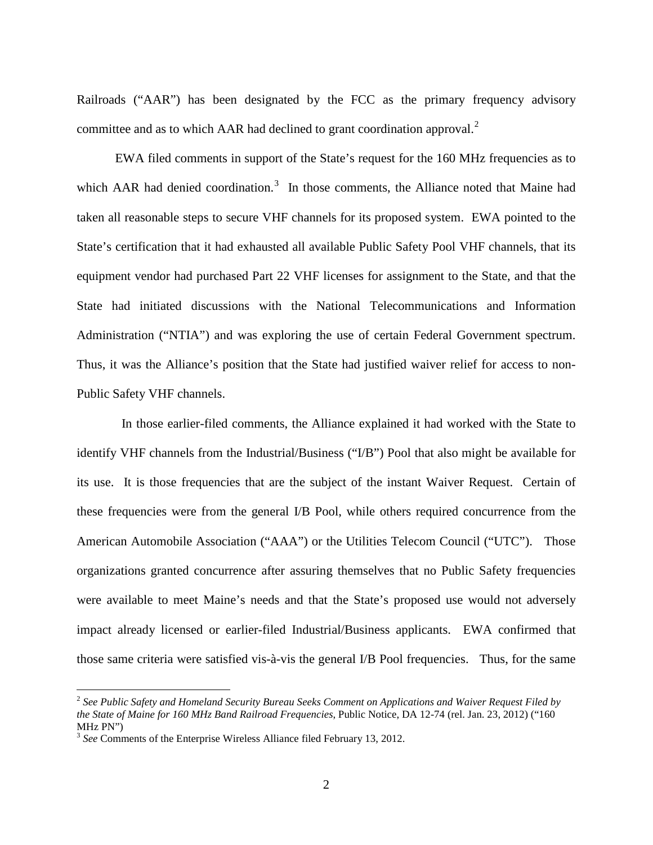Railroads ("AAR") has been designated by the FCC as the primary frequency advisory committee and as to which AAR had declined to grant coordination approval. $2$ 

EWA filed comments in support of the State's request for the 160 MHz frequencies as to which AAR had denied coordination.<sup>[3](#page-1-1)</sup> In those comments, the Alliance noted that Maine had taken all reasonable steps to secure VHF channels for its proposed system. EWA pointed to the State's certification that it had exhausted all available Public Safety Pool VHF channels, that its equipment vendor had purchased Part 22 VHF licenses for assignment to the State, and that the State had initiated discussions with the National Telecommunications and Information Administration ("NTIA") and was exploring the use of certain Federal Government spectrum. Thus, it was the Alliance's position that the State had justified waiver relief for access to non-Public Safety VHF channels.

 In those earlier-filed comments, the Alliance explained it had worked with the State to identify VHF channels from the Industrial/Business ("I/B") Pool that also might be available for its use. It is those frequencies that are the subject of the instant Waiver Request. Certain of these frequencies were from the general I/B Pool, while others required concurrence from the American Automobile Association ("AAA") or the Utilities Telecom Council ("UTC"). Those organizations granted concurrence after assuring themselves that no Public Safety frequencies were available to meet Maine's needs and that the State's proposed use would not adversely impact already licensed or earlier-filed Industrial/Business applicants. EWA confirmed that those same criteria were satisfied vis-à-vis the general I/B Pool frequencies. Thus, for the same

<span id="page-1-0"></span> <sup>2</sup> *See Public Safety and Homeland Security Bureau Seeks Comment on Applications and Waiver Request Filed by the State of Maine for 160 MHz Band Railroad Frequencies*, Public Notice, DA 12-74 (rel. Jan. 23, 2012) ("160 MHz PN")

<span id="page-1-1"></span><sup>3</sup> *See* Comments of the Enterprise Wireless Alliance filed February 13, 2012.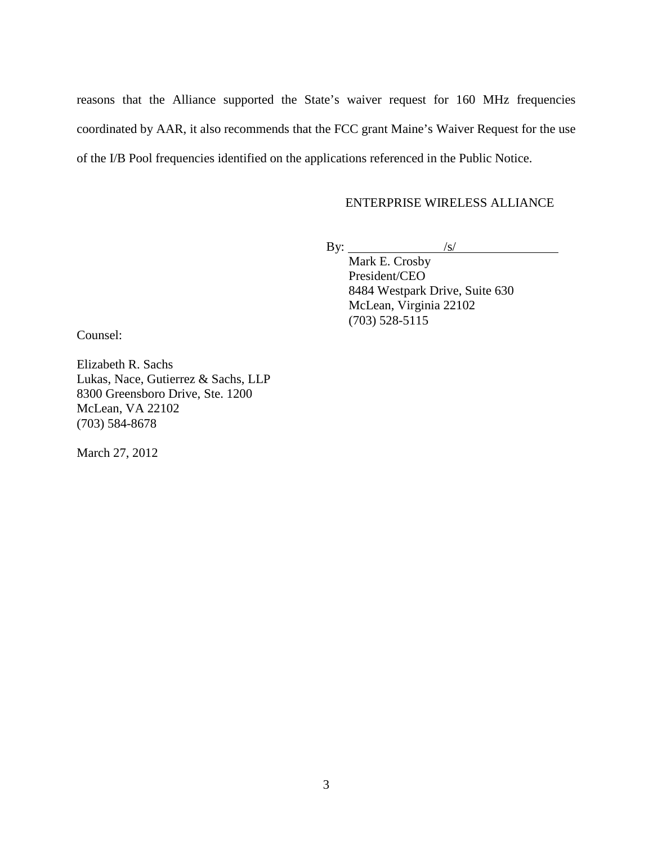reasons that the Alliance supported the State's waiver request for 160 MHz frequencies coordinated by AAR, it also recommends that the FCC grant Maine's Waiver Request for the use of the I/B Pool frequencies identified on the applications referenced in the Public Notice.

## ENTERPRISE WIRELESS ALLIANCE

By:  $\frac{|s|}{|s|}$ 

Mark E. Crosby President/CEO 8484 Westpark Drive, Suite 630 McLean, Virginia 22102 (703) 528-5115

Counsel:

Elizabeth R. Sachs Lukas, Nace, Gutierrez & Sachs, LLP 8300 Greensboro Drive, Ste. 1200 McLean, VA 22102 (703) 584-8678

March 27, 2012